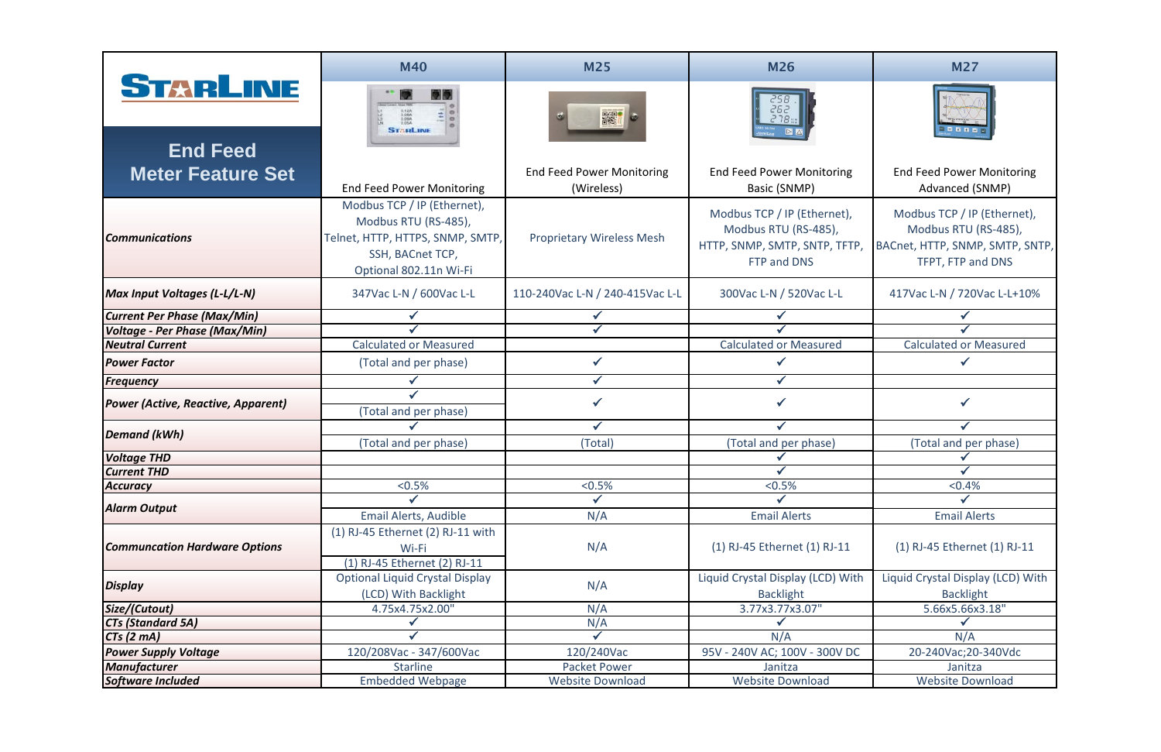|                                           | <b>M40</b>                                                                                                                            | <b>M25</b>                                     | <b>M26</b>                                                                                          | <b>M27</b>                                                                                                  |
|-------------------------------------------|---------------------------------------------------------------------------------------------------------------------------------------|------------------------------------------------|-----------------------------------------------------------------------------------------------------|-------------------------------------------------------------------------------------------------------------|
| STARLINE<br><b>End Feed</b>               | 5.12A<br>5.06A<br>5.09A<br><b>STARLINE</b>                                                                                            | <b>開想】</b>                                     |                                                                                                     |                                                                                                             |
| <b>Meter Feature Set</b>                  | <b>End Feed Power Monitoring</b>                                                                                                      | <b>End Feed Power Monitoring</b><br>(Wireless) | <b>End Feed Power Monitoring</b><br>Basic (SNMP)                                                    | <b>End Feed Power Monitoring</b><br>Advanced (SNMP)                                                         |
| <b>Communications</b>                     | Modbus TCP / IP (Ethernet),<br>Modbus RTU (RS-485),<br>Telnet, HTTP, HTTPS, SNMP, SMTP,<br>SSH, BACnet TCP,<br>Optional 802.11n Wi-Fi | <b>Proprietary Wireless Mesh</b>               | Modbus TCP / IP (Ethernet),<br>Modbus RTU (RS-485),<br>HTTP, SNMP, SMTP, SNTP, TFTP,<br>FTP and DNS | Modbus TCP / IP (Ethernet),<br>Modbus RTU (RS-485),<br>BACnet, HTTP, SNMP, SMTP, SNTP,<br>TFPT, FTP and DNS |
| <b>Max Input Voltages (L-L/L-N)</b>       | 347Vac L-N / 600Vac L-L                                                                                                               | 110-240Vac L-N / 240-415Vac L-L                | 300Vac L-N / 520Vac L-L                                                                             | 417Vac L-N / 720Vac L-L+10%                                                                                 |
| <b>Current Per Phase (Max/Min)</b>        |                                                                                                                                       |                                                |                                                                                                     |                                                                                                             |
| Voltage - Per Phase (Max/Min)             |                                                                                                                                       |                                                |                                                                                                     |                                                                                                             |
| <b>Neutral Current</b>                    | <b>Calculated or Measured</b>                                                                                                         |                                                | <b>Calculated or Measured</b>                                                                       | <b>Calculated or Measured</b>                                                                               |
| <b>Power Factor</b>                       | (Total and per phase)                                                                                                                 |                                                |                                                                                                     |                                                                                                             |
| Frequency                                 |                                                                                                                                       | $\checkmark$                                   | $\checkmark$                                                                                        |                                                                                                             |
| <b>Power (Active, Reactive, Apparent)</b> | (Total and per phase)                                                                                                                 |                                                |                                                                                                     |                                                                                                             |
| <b>Demand (kWh)</b>                       |                                                                                                                                       | $\checkmark$                                   |                                                                                                     |                                                                                                             |
|                                           | (Total and per phase)                                                                                                                 | (Total)                                        | (Total and per phase)                                                                               | (Total and per phase)                                                                                       |
| <b>Voltage THD</b>                        |                                                                                                                                       |                                                |                                                                                                     |                                                                                                             |
| <b>Current THD</b>                        |                                                                                                                                       |                                                |                                                                                                     |                                                                                                             |
| <b>Accuracy</b>                           | $< 0.5\%$                                                                                                                             | $< 0.5\%$                                      | $< 0.5\%$                                                                                           | < 0.4%                                                                                                      |
| <b>Alarm Output</b>                       |                                                                                                                                       |                                                |                                                                                                     |                                                                                                             |
|                                           | Email Alerts, Audible                                                                                                                 | N/A                                            | <b>Email Alerts</b>                                                                                 | <b>Email Alerts</b>                                                                                         |
| <b>Communcation Hardware Options</b>      | $(1)$ RJ-45 Ethernet $(2)$ RJ-11 with<br>Wi-Fi<br>(1) RJ-45 Ethernet (2) RJ-11                                                        | N/A                                            | (1) RJ-45 Ethernet (1) RJ-11                                                                        | (1) RJ-45 Ethernet (1) RJ-11                                                                                |
| <b>Display</b>                            | <b>Optional Liquid Crystal Display</b><br>(LCD) With Backlight                                                                        | N/A                                            | Liquid Crystal Display (LCD) With<br><b>Backlight</b>                                               | Liquid Crystal Display (LCD) With<br><b>Backlight</b>                                                       |
| Size/(Cutout)                             | 4.75x4.75x2.00"                                                                                                                       | N/A                                            | 3.77x3.77x3.07"                                                                                     | 5.66x5.66x3.18"                                                                                             |
| <b>CTs (Standard 5A)</b>                  |                                                                                                                                       | N/A                                            |                                                                                                     |                                                                                                             |
| $CTs$ $(2 \text{ mA})$                    |                                                                                                                                       |                                                | N/A                                                                                                 | N/A                                                                                                         |
| <b>Power Supply Voltage</b>               | 120/208Vac - 347/600Vac                                                                                                               | 120/240Vac                                     | 95V - 240V AC; 100V - 300V DC                                                                       | 20-240Vac; 20-340Vdc                                                                                        |
| <b>Manufacturer</b>                       | <b>Starline</b>                                                                                                                       | <b>Packet Power</b>                            | Janitza                                                                                             | Janitza                                                                                                     |
| <b>Software Included</b>                  | <b>Embedded Webpage</b>                                                                                                               | Website Download                               | <b>Website Download</b>                                                                             | <b>Website Download</b>                                                                                     |